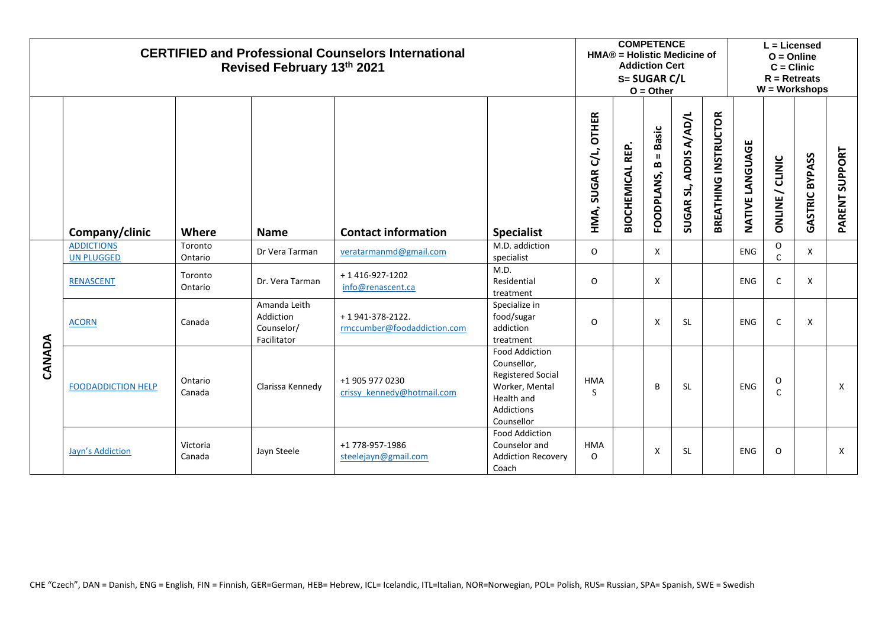|        |                                        |                    | Revised February 13th 2021                             | <b>CERTIFIED and Professional Counselors International</b> |                                                                                                                              |                                           | HMA® = Holistic Medicine of | <b>COMPETENCE</b><br><b>Addiction Cert</b><br><b>S= SUGAR C/L</b><br>$O = Other$ |                                  |                      | L = Licensed<br>$O = Online$<br>$C =$ Clinic<br>$R =$ Retreats<br>$W = Workshops$ |                         |                       |                |  |
|--------|----------------------------------------|--------------------|--------------------------------------------------------|------------------------------------------------------------|------------------------------------------------------------------------------------------------------------------------------|-------------------------------------------|-----------------------------|----------------------------------------------------------------------------------|----------------------------------|----------------------|-----------------------------------------------------------------------------------|-------------------------|-----------------------|----------------|--|
|        | Company/clinic                         | Where              | <b>Name</b>                                            | <b>Contact information</b>                                 | <b>Specialist</b>                                                                                                            | <b>OTHER</b><br><b>SUGAR C/L,</b><br>HMA, | BIOCHEMICAL REP.            | <b>Basic</b><br>$\mathbf{H}$<br>$\bf{m}$<br>FOODPLANS,                           | ADDIS A/AD/L<br><b>SUGAR SL,</b> | BREATHING INSTRUCTOR | LANGUAGE<br><b>NATIVE</b>                                                         | <b>DNLINE / CLINIC</b>  | <b>GASTRIC BYPASS</b> | PARENT SUPPORT |  |
|        | <b>ADDICTIONS</b><br><b>UN PLUGGED</b> | Toronto<br>Ontario | Dr Vera Tarman                                         | veratarmanmd@gmail.com                                     | M.D. addiction<br>specialist                                                                                                 | $\circ$                                   |                             | X                                                                                |                                  |                      | <b>ENG</b>                                                                        | $\circ$<br>$\Gamma$     | X                     |                |  |
|        | <b>RENASCENT</b>                       | Toronto<br>Ontario | Dr. Vera Tarman                                        | $+1416-927-1202$<br>info@renascent.ca                      | M.D.<br>Residential<br>treatment                                                                                             | $\Omega$                                  |                             | X                                                                                |                                  |                      | <b>ENG</b>                                                                        | $\mathsf{C}$            | X                     |                |  |
|        | <b>ACORN</b>                           | Canada             | Amanda Leith<br>Addiction<br>Counselor/<br>Facilitator | +1941-378-2122.<br>rmccumber@foodaddiction.com             | Specialize in<br>food/sugar<br>addiction<br>treatment                                                                        | $\circ$                                   |                             | X                                                                                | <b>SL</b>                        |                      | <b>ENG</b>                                                                        | $\mathsf{C}$            | Χ                     |                |  |
| CANADA | <b>FOODADDICTION HELP</b>              | Ontario<br>Canada  | Clarissa Kennedy                                       | +1 905 977 0230<br>crissy kennedy@hotmail.com              | <b>Food Addiction</b><br>Counsellor,<br><b>Registered Social</b><br>Worker, Mental<br>Health and<br>Addictions<br>Counsellor | <b>HMA</b><br>S.                          |                             | B                                                                                | <b>SL</b>                        |                      | <b>ENG</b>                                                                        | $\circ$<br>$\mathsf{C}$ |                       | X              |  |
|        | <b>Jayn's Addiction</b>                | Victoria<br>Canada | Jayn Steele                                            | +1 778-957-1986<br>steelejayn@gmail.com                    | <b>Food Addiction</b><br>Counselor and<br><b>Addiction Recovery</b><br>Coach                                                 | <b>HMA</b><br>$\Omega$                    |                             | X                                                                                | <b>SL</b>                        |                      | <b>ENG</b>                                                                        | O                       |                       | X              |  |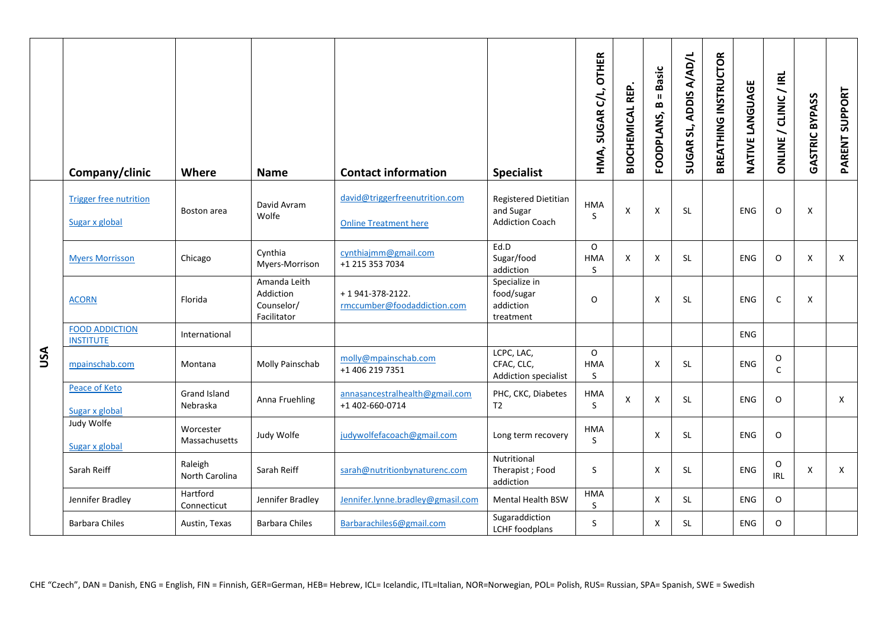|     | Company/clinic                                  | Where                      | <b>Name</b>                                            | <b>Contact information</b>                                     | <b>Specialist</b>                                           | HMA, SUGAR C/L, OTHER       | BIOCHEMICAL REP. | Basic<br>Ш<br>B<br>FOODPLANS, | ADDIS A/AD/L<br>SUGAR SL, | <b>BREATHING INSTRUCTOR</b> | NATIVE LANGUAGE | <b>ONLINE / CLINIC / IRL</b> | <b>GASTRIC BYPASS</b> | PARENT SUPPORT |
|-----|-------------------------------------------------|----------------------------|--------------------------------------------------------|----------------------------------------------------------------|-------------------------------------------------------------|-----------------------------|------------------|-------------------------------|---------------------------|-----------------------------|-----------------|------------------------------|-----------------------|----------------|
|     | <b>Trigger free nutrition</b><br>Sugar x global | Boston area                | David Avram<br>Wolfe                                   | david@triggerfreenutrition.com<br><b>Online Treatment here</b> | Registered Dietitian<br>and Sugar<br><b>Addiction Coach</b> | HMA<br>S                    | X                | $\boldsymbol{\mathsf{X}}$     | <b>SL</b>                 |                             | <b>ENG</b>      | $\Omega$                     | X                     |                |
|     | <b>Myers Morrisson</b>                          | Chicago                    | Cynthia<br>Myers-Morrison                              | cynthiajmm@gmail.com<br>+1 215 353 7034                        | Ed.D<br>Sugar/food<br>addiction                             | $\Omega$<br><b>HMA</b><br>S | X                | X                             | SL.                       |                             | <b>ENG</b>      | O                            | X                     | X              |
|     | <b>ACORN</b>                                    | Florida                    | Amanda Leith<br>Addiction<br>Counselor/<br>Facilitator | +1941-378-2122.<br>rmccumber@foodaddiction.com                 | Specialize in<br>food/sugar<br>addiction<br>treatment       | $\circ$                     |                  | $\boldsymbol{\mathsf{X}}$     | <b>SL</b>                 |                             | <b>ENG</b>      | $\mathsf{C}$                 | X                     |                |
|     | <b>FOOD ADDICTION</b><br><b>INSTITUTE</b>       | International              |                                                        |                                                                |                                                             |                             |                  |                               |                           |                             | <b>ENG</b>      |                              |                       |                |
| USA | mpainschab.com                                  | Montana                    | Molly Painschab                                        | molly@mpainschab.com<br>+1 406 219 7351                        | LCPC, LAC,<br>CFAC, CLC,<br>Addiction specialist            | $\Omega$<br>HMA<br>S        |                  | $\boldsymbol{\mathsf{X}}$     | <b>SL</b>                 |                             | ENG             | O<br>$\mathsf{C}$            |                       |                |
|     | Peace of Keto<br>Sugar x global                 | Grand Island<br>Nebraska   | Anna Fruehling                                         | annasancestralhealth@gmail.com<br>+1 402-660-0714              | PHC, CKC, Diabetes<br>T2                                    | HMA<br>S.                   | X                | $\boldsymbol{\mathsf{X}}$     | <b>SL</b>                 |                             | ENG             | $\Omega$                     |                       | X              |
|     | Judy Wolfe<br>Sugar x global                    | Worcester<br>Massachusetts | Judy Wolfe                                             | judywolfefacoach@gmail.com                                     | Long term recovery                                          | HMA<br>S.                   |                  | $\mathsf{X}$                  | <b>SL</b>                 |                             | <b>ENG</b>      | $\circ$                      |                       |                |
|     | Sarah Reiff                                     | Raleigh<br>North Carolina  | Sarah Reiff                                            | sarah@nutritionbynaturenc.com                                  | Nutritional<br>Therapist; Food<br>addiction                 | S.                          |                  | $\mathsf{X}$                  | <b>SL</b>                 |                             | <b>ENG</b>      | 0<br><b>IRL</b>              | X                     | X              |
|     | Jennifer Bradley                                | Hartford<br>Connecticut    | Jennifer Bradley                                       | Jennifer.lynne.bradley@gmasil.com                              | <b>Mental Health BSW</b>                                    | HMA<br>S                    |                  | $\mathsf{x}$                  | <b>SL</b>                 |                             | <b>ENG</b>      | $\Omega$                     |                       |                |
|     | <b>Barbara Chiles</b>                           | Austin, Texas              | <b>Barbara Chiles</b>                                  | Barbarachiles6@gmail.com                                       | Sugaraddiction<br>LCHF foodplans                            | S.                          |                  | $\mathsf{x}$                  | <b>SL</b>                 |                             | <b>ENG</b>      | $\Omega$                     |                       |                |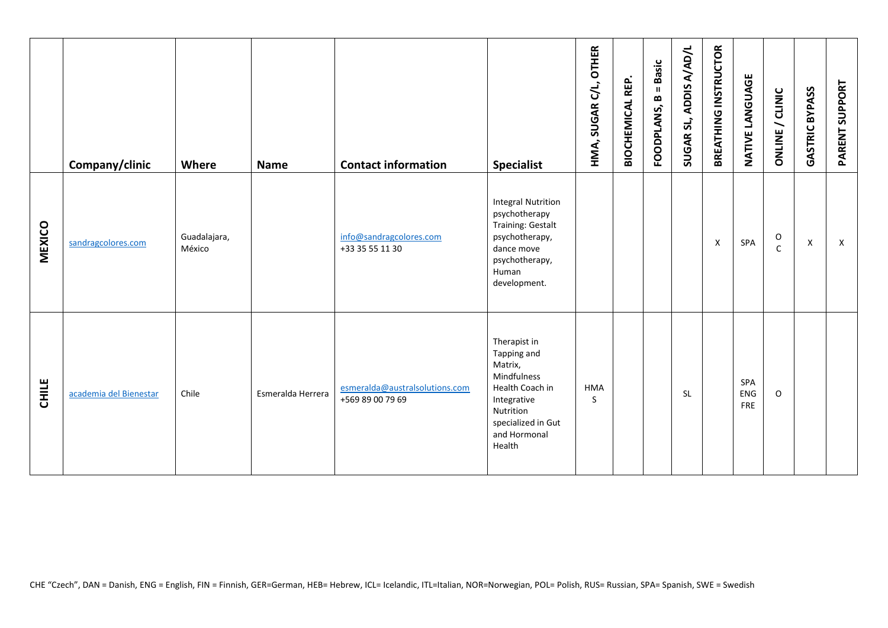|              | Company/clinic         | Where                  | <b>Name</b>       | <b>Contact information</b>                         | <b>Specialist</b>                                                                                                                                    | <b>OTHER</b><br>HMA, SUGAR C/L, | BIOCHEMICAL REP. | $=$ Basic<br>FOODPLANS, B | <b>SUGAR SL, ADDIS A/AD/L</b> | BREATHING INSTRUCTOR | NATIVE LANGUAGE   | <b>ONLINE / CLINIC</b>      | <b>GASTRIC BYPASS</b> | PARENT SUPPORT |
|--------------|------------------------|------------------------|-------------------|----------------------------------------------------|------------------------------------------------------------------------------------------------------------------------------------------------------|---------------------------------|------------------|---------------------------|-------------------------------|----------------------|-------------------|-----------------------------|-----------------------|----------------|
| MEXICO       | sandragcolores.com     | Guadalajara,<br>México |                   | info@sandragcolores.com<br>+33 35 55 11 30         | <b>Integral Nutrition</b><br>psychotherapy<br><b>Training: Gestalt</b><br>psychotherapy,<br>dance move<br>psychotherapy,<br>Human<br>development.    |                                 |                  |                           |                               | X                    | SPA               | $\mathsf O$<br>$\mathsf{C}$ | X                     | $\mathsf{x}$   |
| <b>CHILE</b> | academia del Bienestar | Chile                  | Esmeralda Herrera | esmeralda@australsolutions.com<br>+569 89 00 79 69 | Therapist in<br>Tapping and<br>Matrix,<br>Mindfulness<br>Health Coach in<br>Integrative<br>Nutrition<br>specialized in Gut<br>and Hormonal<br>Health | HMA<br>S                        |                  |                           | <b>SL</b>                     |                      | SPA<br>ENG<br>FRE | $\mathsf{O}$                |                       |                |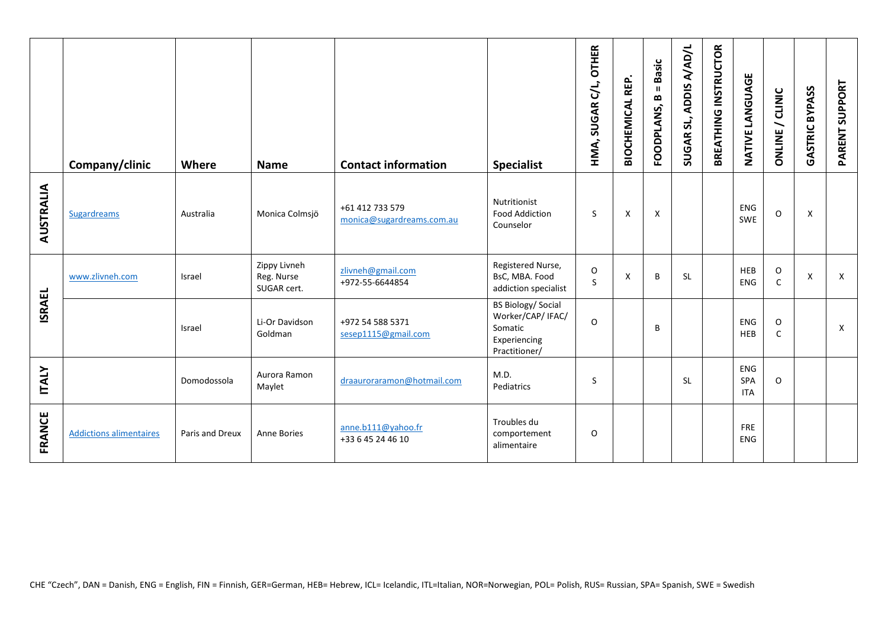|               | Company/clinic                 | Where           | <b>Name</b>                               | <b>Contact information</b>                   | <b>Specialist</b>                                                                   | <b>OTHER</b><br>SUGAR C/L,<br>HMA, | <b>BIOCHEMICAL REP</b> | <b>Basic</b><br>$\,$ H<br>$\pmb{\mathsf{m}}$<br>FOODPLANS, | ADDIS A/AD/L<br>SUGAR SL, | BREATHING INSTRUCTOR | <b>NATIVE LANGUAGE</b>                 | <b>ONLINE / CLINIC</b> | <b>GASTRIC BYPASS</b> | PARENT SUPPORT |
|---------------|--------------------------------|-----------------|-------------------------------------------|----------------------------------------------|-------------------------------------------------------------------------------------|------------------------------------|------------------------|------------------------------------------------------------|---------------------------|----------------------|----------------------------------------|------------------------|-----------------------|----------------|
| AUSTRALIA     | Sugardreams                    | Australia       | Monica Colmsjö                            | +61 412 733 579<br>monica@sugardreams.com.au | Nutritionist<br><b>Food Addiction</b><br>Counselor                                  | S                                  | X                      | $\boldsymbol{\mathsf{X}}$                                  |                           |                      | ENG<br>SWE                             | $\mathsf{O}$           | Χ                     |                |
|               | www.zlivneh.com                | Israel          | Zippy Livneh<br>Reg. Nurse<br>SUGAR cert. | zlivneh@gmail.com<br>+972-55-6644854         | Registered Nurse,<br>BsC, MBA. Food<br>addiction specialist                         | $\circ$<br>S                       | X                      | B                                                          | <b>SL</b>                 |                      | HEB<br>ENG                             | O<br>$\mathsf{C}$      | $\pmb{\mathsf{X}}$    | $\mathsf{X}$   |
| <b>ISRAEL</b> |                                | Israel          | Li-Or Davidson<br>Goldman                 | +972 54 588 5371<br>sesep1115@gmail.com      | BS Biology/ Social<br>Worker/CAP/ IFAC/<br>Somatic<br>Experiencing<br>Practitioner/ | $\circ$                            |                        | B                                                          |                           |                      | <b>ENG</b><br>HEB                      | 0<br>$\mathsf{C}$      |                       | $\mathsf{x}$   |
| <b>ITALY</b>  |                                | Domodossola     | Aurora Ramon<br>Maylet                    | draauroraramon@hotmail.com                   | M.D.<br>Pediatrics                                                                  | S                                  |                        |                                                            | <b>SL</b>                 |                      | <b>ENG</b><br><b>SPA</b><br><b>ITA</b> | $\mathsf{O}$           |                       |                |
| FRANCE        | <b>Addictions alimentaires</b> | Paris and Dreux | <b>Anne Bories</b>                        | anne.b111@yahoo.fr<br>+33 6 45 24 46 10      | Troubles du<br>comportement<br>alimentaire                                          | 0                                  |                        |                                                            |                           |                      | <b>FRE</b><br><b>ENG</b>               |                        |                       |                |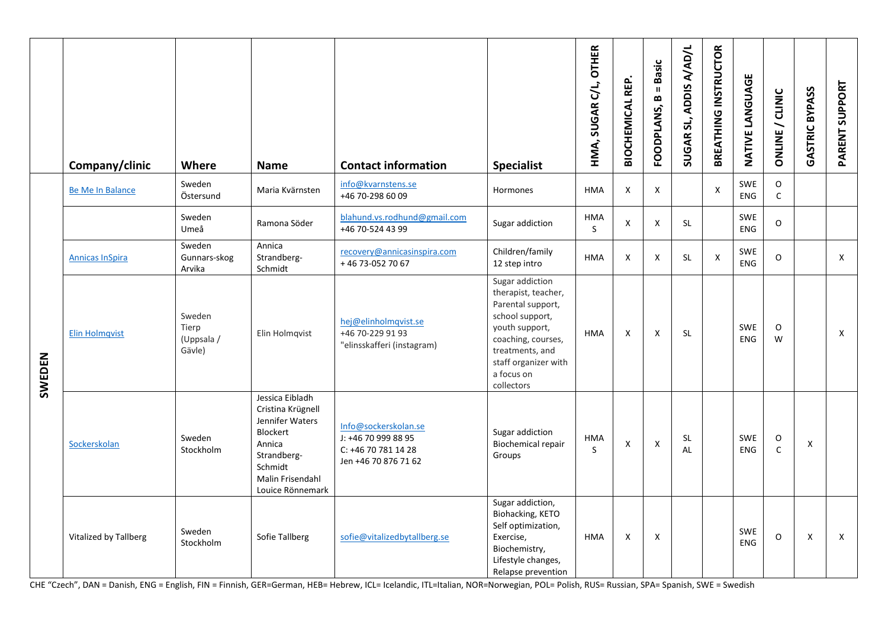|        | Company/clinic          | Where                                   | <b>Name</b>                                                                                                                                     | <b>Contact information</b>                                                                 | <b>Specialist</b>                                                                                                                                                                             | <b>OTHER</b><br>HMA, SUGAR C/L, | BIOCHEMICAL REP. | <b>Basic</b><br>$\mathbf{H}$<br>FOODPLANS, B | SUGAR SL, ADDIS A/AD/L | BREATHING INSTRUCTOR | NATIVE LANGUAGE          | <b>ONLINE / CLINIC</b> | <b>GASTRIC BYPASS</b> | PARENT SUPPORT |
|--------|-------------------------|-----------------------------------------|-------------------------------------------------------------------------------------------------------------------------------------------------|--------------------------------------------------------------------------------------------|-----------------------------------------------------------------------------------------------------------------------------------------------------------------------------------------------|---------------------------------|------------------|----------------------------------------------|------------------------|----------------------|--------------------------|------------------------|-----------------------|----------------|
|        | <b>Be Me In Balance</b> | Sweden<br>Östersund                     | Maria Kvärnsten                                                                                                                                 | info@kvarnstens.se<br>+46 70-298 60 09                                                     | Hormones                                                                                                                                                                                      | <b>HMA</b>                      | X                | $\mathsf{X}$                                 |                        | $\pmb{\mathsf{X}}$   | SWE<br><b>ENG</b>        | O<br>$\mathsf{C}$      |                       |                |
| SWEDEN |                         | Sweden<br>Umeå                          | Ramona Söder                                                                                                                                    | blahund.vs.rodhund@gmail.com<br>+46 70-524 43 99                                           | Sugar addiction                                                                                                                                                                               | <b>HMA</b><br>S.                | X                | $\boldsymbol{\mathsf{X}}$                    | <b>SL</b>              |                      | <b>SWE</b><br>ENG        | $\circ$                |                       |                |
|        | <b>Annicas InSpira</b>  | Sweden<br>Gunnars-skog<br>Arvika        | Annica<br>Strandberg-<br>Schmidt                                                                                                                | recovery@annicasinspira.com<br>+46 73-052 70 67                                            | Children/family<br>12 step intro                                                                                                                                                              | <b>HMA</b>                      | X                | X                                            | <b>SL</b>              | X                    | SWE<br>ENG               | $\Omega$               |                       | X              |
|        | <b>Elin Holmqvist</b>   | Sweden<br>Tierp<br>(Uppsala /<br>Gävle) | Elin Holmqvist                                                                                                                                  | hej@elinholmqvist.se<br>+46 70-229 91 93<br>"elinsskafferi (instagram)                     | Sugar addiction<br>therapist, teacher,<br>Parental support,<br>school support,<br>youth support,<br>coaching, courses,<br>treatments, and<br>staff organizer with<br>a focus on<br>collectors | <b>HMA</b>                      | X                | X                                            | <b>SL</b>              |                      | <b>SWE</b><br><b>ENG</b> | $\circ$<br>W           |                       | X              |
|        | Sockerskolan            | Sweden<br>Stockholm                     | Jessica Eibladh<br>Cristina Krügnell<br>Jennifer Waters<br>Blockert<br>Annica<br>Strandberg-<br>Schmidt<br>Malin Frisendahl<br>Louice Rönnemark | Info@sockerskolan.se<br>J: +46 70 999 88 95<br>C: +46 70 781 14 28<br>Jen +46 70 876 71 62 | Sugar addiction<br><b>Biochemical repair</b><br>Groups                                                                                                                                        | HMA<br>S.                       | X                | $\pmb{\times}$                               | <b>SL</b><br><b>AL</b> |                      | SWE<br><b>ENG</b>        | 0<br>$\mathsf{C}$      | $\pmb{\mathsf{X}}$    |                |
|        | Vitalized by Tallberg   | Sweden<br>Stockholm                     | Sofie Tallberg                                                                                                                                  | sofie@vitalizedbytallberg.se                                                               | Sugar addiction,<br>Biohacking, KETO<br>Self optimization,<br>Exercise,<br>Biochemistry,<br>Lifestyle changes,<br>Relapse prevention                                                          | <b>HMA</b>                      | X                | $\boldsymbol{\mathsf{X}}$                    |                        |                      | SWE<br><b>ENG</b>        | $\Omega$               | X                     | X              |

CHE "Czech", DAN = Danish, ENG = English, FIN = Finnish, GER=German, HEB= Hebrew, ICL= Icelandic, ITL=Italian, NOR=Norwegian, POL= Polish, RUS= Russian, SPA= Spanish, SWE = Swedish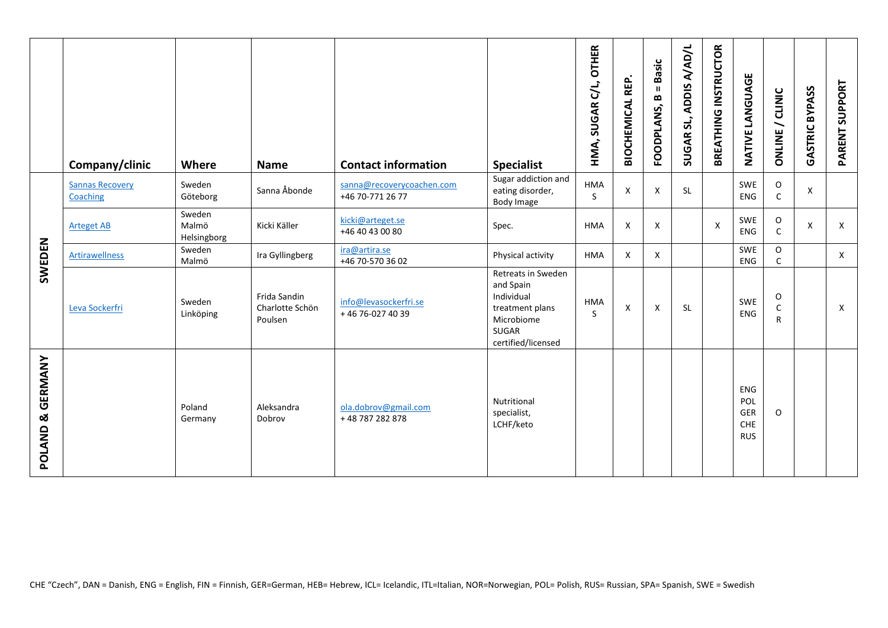|                               | Company/clinic                     | Where                          | <b>Name</b>                                | <b>Contact information</b>                    | <b>Specialist</b>                                                                                             | <b>OTHER</b><br>ςL,<br>SUGAR<br>HMA, | BIOCHEMICAL REP. | <b>Basic</b><br>$\mathbf H$<br>$\bf{m}$<br>FOODPLANS, | ADDIS A/AD/L<br>SUGAR SL, | BREATHING INSTRUCTOR | <b>NATIVE LANGUAGE</b>                 | <b>ONLINE / CLINIC</b>       | <b>GASTRIC BYPASS</b> | PARENT SUPPORT |
|-------------------------------|------------------------------------|--------------------------------|--------------------------------------------|-----------------------------------------------|---------------------------------------------------------------------------------------------------------------|--------------------------------------|------------------|-------------------------------------------------------|---------------------------|----------------------|----------------------------------------|------------------------------|-----------------------|----------------|
|                               | <b>Sannas Recovery</b><br>Coaching | Sweden<br>Göteborg             | Sanna Åbonde                               | sanna@recoverycoachen.com<br>+46 70-771 26 77 | Sugar addiction and<br>eating disorder,<br>Body Image                                                         | HMA<br>S.                            | X                | X                                                     | <b>SL</b>                 |                      | <b>SWE</b><br>ENG                      | 0<br>$\mathsf{C}$            | X                     |                |
|                               | <b>Arteget AB</b>                  | Sweden<br>Malmö<br>Helsingborg | Kicki Käller                               | kicki@arteget.se<br>+46 40 43 00 80           | Spec.                                                                                                         | <b>HMA</b>                           | X                | $\mathsf{x}$                                          |                           | X                    | <b>SWE</b><br><b>ENG</b>               | O<br>$\mathsf{C}$            | $\mathsf{X}$          | $\mathsf{X}$   |
| SWEDEN                        | <b>Artirawellness</b>              | Sweden<br>Malmö                | Ira Gyllingberg                            | ira@artira.se<br>+46 70-570 36 02             | Physical activity                                                                                             | <b>HMA</b>                           | X                | $\times$                                              |                           |                      | SWE<br>ENG                             | $\mathsf{O}$<br>$\mathsf{C}$ |                       | $\mathsf{X}$   |
|                               | Leva Sockerfri                     | Sweden<br>Linköping            | Frida Sandin<br>Charlotte Schön<br>Poulsen | info@levasockerfri.se<br>+46 76-027 40 39     | Retreats in Sweden<br>and Spain<br>Individual<br>treatment plans<br>Microbiome<br>SUGAR<br>certified/licensed | <b>HMA</b><br>S.                     | X                | Χ                                                     | <b>SL</b>                 |                      | <b>SWE</b><br>ENG                      | 0<br>C<br>$\mathsf{R}$       |                       | X              |
| <b>GERMANY</b><br>ఱ<br>POLAND |                                    | Poland<br>Germany              | Aleksandra<br>Dobrov                       | ola.dobrov@gmail.com<br>+48 787 282 878       | Nutritional<br>specialist,<br>LCHF/keto                                                                       |                                      |                  |                                                       |                           |                      | ENG<br>POL<br>GER<br>CHE<br><b>RUS</b> | $\mathsf{O}$                 |                       |                |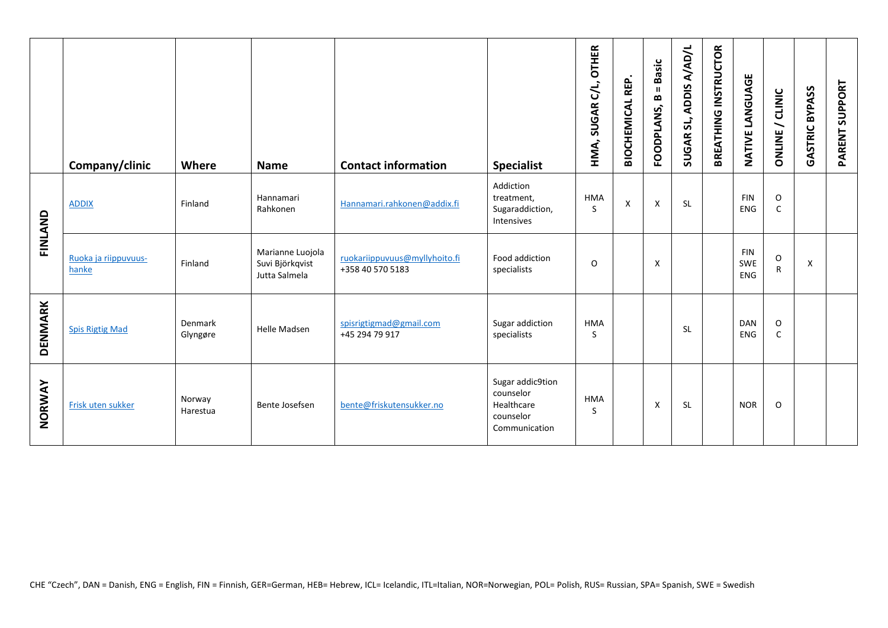|                | Company/clinic                | Where               | <b>Name</b>                                          | <b>Contact information</b>                        | <b>Specialist</b>                                                         | <b>OTHER</b><br>C/L,<br>HMA, SUGAR | BIOCHEMICAL REP. | <b>Basic</b><br>$\mathbf{I}$<br>FOODPLANS, B | SUGAR SL, ADDIS A/AD/L | BREATHING INSTRUCTOR | NATIVE LANGUAGE                 | <b>ONLINE / CLINIC</b>  | <b>GASTRIC BYPASS</b> | PARENT SUPPORT |
|----------------|-------------------------------|---------------------|------------------------------------------------------|---------------------------------------------------|---------------------------------------------------------------------------|------------------------------------|------------------|----------------------------------------------|------------------------|----------------------|---------------------------------|-------------------------|-----------------------|----------------|
| FINLAND        | <b>ADDIX</b>                  | Finland             | Hannamari<br>Rahkonen                                | Hannamari.rahkonen@addix.fi                       | Addiction<br>treatment,<br>Sugaraddiction,<br>Intensives                  | <b>HMA</b><br>S                    | X                | X                                            | <b>SL</b>              |                      | <b>FIN</b><br><b>ENG</b>        | $\circ$<br>$\mathsf{C}$ |                       |                |
|                | Ruoka ja riippuvuus-<br>hanke | Finland             | Marianne Luojola<br>Suvi Björkqvist<br>Jutta Salmela | ruokariippuvuus@myllyhoito.fi<br>+358 40 570 5183 | Food addiction<br>specialists                                             | 0                                  |                  | X                                            |                        |                      | <b>FIN</b><br>SWE<br><b>ENG</b> | $\mathsf O$<br>R        | X                     |                |
| <b>DENMARK</b> | <b>Spis Rigtig Mad</b>        | Denmark<br>Glyngøre | Helle Madsen                                         | spisrigtigmad@gmail.com<br>+45 294 79 917         | Sugar addiction<br>specialists                                            | <b>HMA</b><br>S                    |                  |                                              | <b>SL</b>              |                      | DAN<br><b>ENG</b>               | $\circ$<br>$\mathsf{C}$ |                       |                |
| NORWAY         | Frisk uten sukker             | Norway<br>Harestua  | Bente Josefsen                                       | bente@friskutensukker.no                          | Sugar addic9tion<br>counselor<br>Healthcare<br>counselor<br>Communication | <b>HMA</b><br>S.                   |                  | $\boldsymbol{\mathsf{x}}$                    | <b>SL</b>              |                      | <b>NOR</b>                      | $\circ$                 |                       |                |